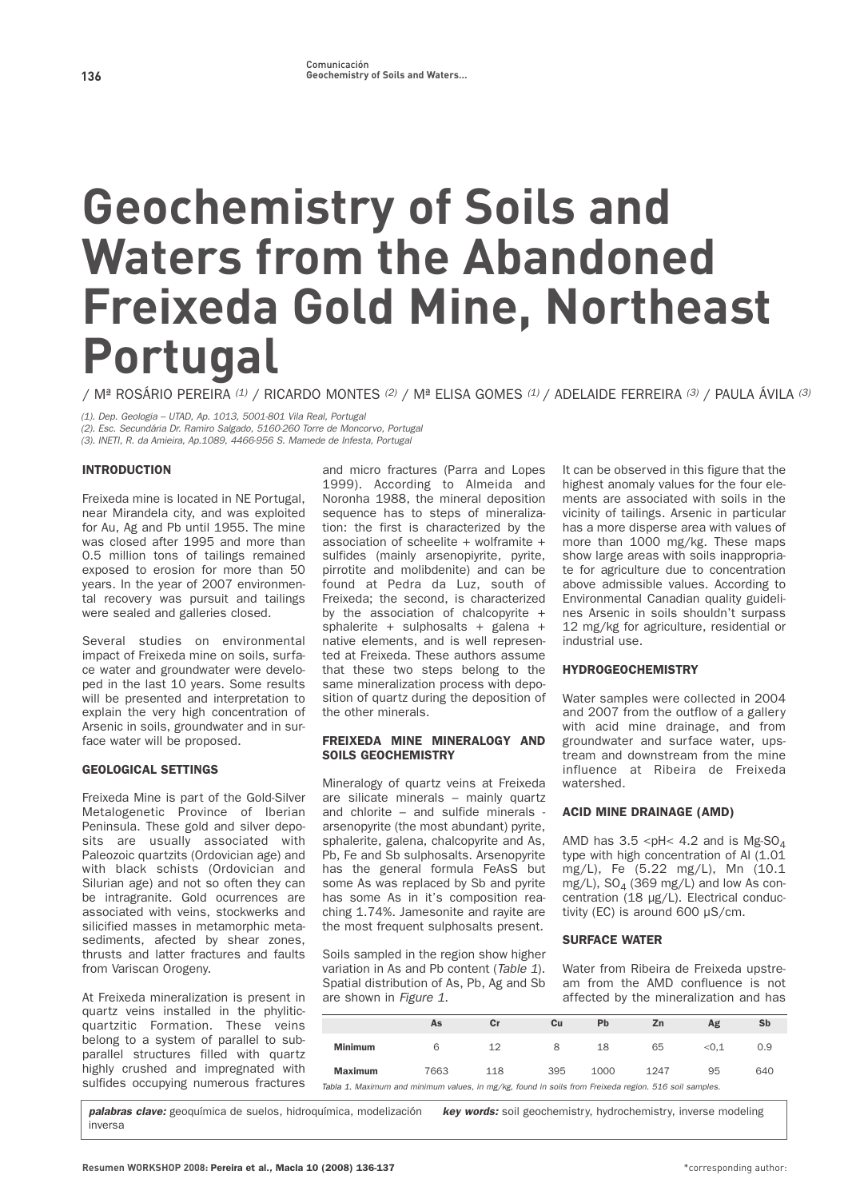# **Geochemistry of Soils and Waters from the Abandoned Freixeda Gold Mine, Northeast Portugal**

**/ Mª ROSÁRIO PEREIRA** (1) **/ RICARDO MONTES** (2) **/ Mª ELISA GOMES** (1) **/ ADELAIDE FERREIRA** (3) **/ PAULA ÁVILA** (3)

(1). Dep. Geologia – UTAD, Ap. 1013, 5001-801 Vila Real, Portugal

(2). Esc. Secundária Dr. Ramiro Salgado, 5160-260 Torre de Moncorvo, Portugal

(3). INETI, R. da Amieira, Ap.1089, 4466-956 S. Mamede de Infesta, Portugal

## INTRODUCTION

**Freixeda mine is located in NE Portugal, near Mirandela city, and was exploited for Au, Ag and Pb until 1955. The mine was closed after 1995 and more than 0.5 million tons of tailings remained exposed to erosion for more than 50 years. In the year of 2007 environmental recovery was pursuit and tailings were sealed and galleries closed.**

**Several studies on environmental impact of Freixeda mine on soils, surface water and groundwater were developed in the last 10 years. Some results will be presented and interpretation to explain the very high concentration of Arsenic in soils, groundwater and in surface water will be proposed.** 

#### GEOLOGICAL SETTINGS

**Freixeda Mine is part of the Gold-Silver Metalogenetic Province of Iberian Peninsula. These gold and silver deposits are usually associated with Paleozoic quartzits (Ordovician age) and with black schists (Ordovician and Silurian age) and not so often they can be intragranite. Gold ocurrences are associated with veins, stockwerks and silicified masses in metamorphic metasediments, afected by shear zones, thrusts and latter fractures and faults from Variscan Orogeny.**

**At Freixeda mineralization is present in quartz veins installed in the phyliticquartzitic Formation. These veins belong to a system of parallel to subparallel structures filled with quartz highly crushed and impregnated with sulfides occupying numerous fractures** **and micro fractures (Parra and Lopes 1999). According to Almeida and Noronha 1988, the mineral deposition sequence has to steps of mineralization: the first is characterized by the association of scheelite + wolframite + sulfides (mainly arsenopiyrite, pyrite, pirrotite and molibdenite) and can be found at Pedra da Luz, south of Freixeda; the second, is characterized by the association of chalcopyrite + sphalerite + sulphosalts + galena + native elements, and is well represented at Freixeda. These authors assume that these two steps belong to the same mineralization process with deposition of quartz during the deposition of the other minerals.** 

## FREIXEDA MINE MINERALOGY AND SOILS GEOCHEMISTRY

**Mineralogy of quartz veins at Freixeda are silicate minerals – mainly quartz and chlorite – and sulfide minerals arsenopyrite (the most abundant) pyrite, sphalerite, galena, chalcopyrite and As, Pb, Fe and Sb sulphosalts. Arsenopyrite has the general formula FeAsS but some As was replaced by Sb and pyrite has some As in it's composition reaching 1.74%. Jamesonite and rayite are the most frequent sulphosalts present.**

**Soils sampled in the region show higher variation in As and Pb content (**Table 1**). Spatial distribution of As, Pb, Ag and Sb are shown in** Figure 1**.**

**It can be observed in this figure that the highest anomaly values for the four elements are associated with soils in the vicinity of tailings. Arsenic in particular has a more disperse area with values of more than 1000 mg/kg. These maps show large areas with soils inappropriate for agriculture due to concentration above admissible values. According to Environmental Canadian quality guidelines Arsenic in soils shouldn't surpass 12 mg/kg for agriculture, residential or industrial use.**

## **HYDROGEOCHEMISTRY**

**Water samples were collected in 2004 and 2007 from the outflow of a gallery with acid mine drainage, and from groundwater and surface water, upstream and downstream from the mine influence at Ribeira de Freixeda watershed.**

## ACID MINE DRAINAGE (AMD)

**AMD has 3.5 <pH< 4.2 and is Mg-SO4 type with high concentration of Al (1.01 mg/L), Fe (5.22 mg/L), Mn (10.1** mg/L), SO<sub>4</sub> (369 mg/L) and low As con**centration (18 µg/L). Electrical conductivity (EC) is around 600 µS/cm.**

## SURFACE WATER

**Water from Ribeira de Freixeda upstream from the AMD confluence is not affected by the mineralization and has**

|                | As   | $cr$ | Cu  | Pb   | Zn                                      | Ag    | Sb  |
|----------------|------|------|-----|------|-----------------------------------------|-------|-----|
| <b>Minimum</b> | 6    | 12   | 8   | 18   | 65                                      | < 0.1 | 0.9 |
| <b>Maximum</b> | 7663 | 118  | 395 | 1000 | 1247<br>the contract of the contract of | 95    | 640 |

Tabla 1. Maximum and minimum values, in mg/kg, found in soils from Freixeda region. 516 soil samples.

**palabras clave: geoquímica de suelos, hidroquímica, modelización inversa key words: soil geochemistry, hydrochemistry, inverse modeling**